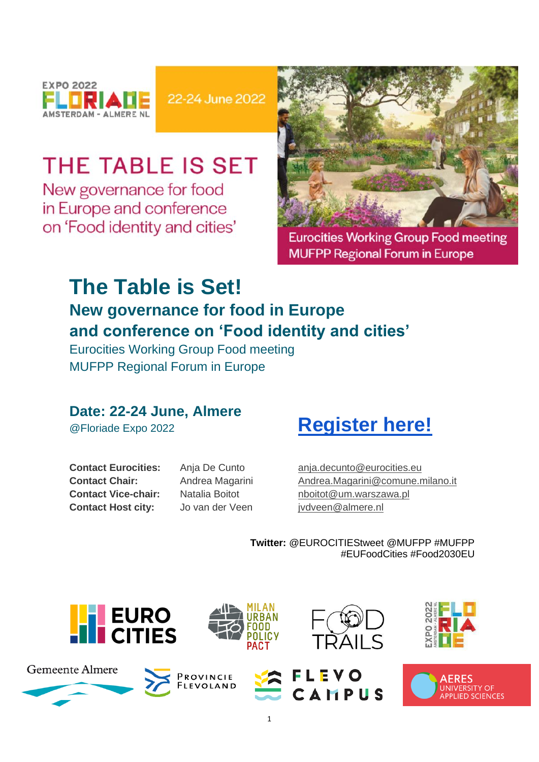

22-24 June 2022

# THE TABLE IS SET

New governance for food in Europe and conference on 'Food identity and cities'



**Eurocities Working Group Food meeting MUFPP Regional Forum in Europe** 

## **The Table is Set! New governance for food in Europe and conference on 'Food identity and cities'**

Eurocities Working Group Food meeting MUFPP Regional Forum in Europe

### **Date: 22-24 June, Almere**

@Floriade Expo 2022

**Contact Eurocities: Contact Chair: Contact Vice-chair: Contact Host city:** 

Anja De Cunto Andrea Magarini Natalia Boitot Jo van der Veen

# **[Register here!](https://www.eventbrite.com/e/the-table-is-set-new-governance-for-food-in-europe-registration-330644686157)**

[anja.decunto@eurocities.eu](mailto:anja.decunto@eurocities.eu)  [Andrea.Magarini@comune.milano.it](mailto:Andrea.Magarini@comune.milano.it)  [nboitot@um.warszawa.pl](mailto:nboitot@um.warszawa.pl)  [jvdveen@almere.nl](mailto:jvdveen@almere.nl)

**Twitter:** @EUROCITIEStweet @MUFPP #MUFPP #EUFoodCities #Food2030EU

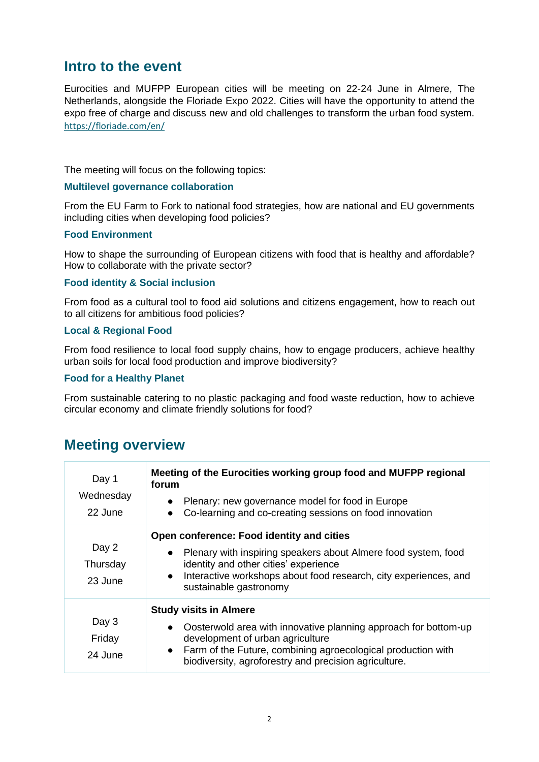### **Intro to the event**

Eurocities and MUFPP European cities will be meeting on 22-24 June in Almere, The Netherlands, alongside the Floriade Expo 2022. Cities will have the opportunity to attend the expo free of charge and discuss new and old challenges to transform the urban food system. <https://floriade.com/en/>

The meeting will focus on the following topics:

#### **Multilevel governance collaboration**

From the EU Farm to Fork to national food strategies, how are national and EU governments including cities when developing food policies?

### **Food Environment**

How to shape the surrounding of European citizens with food that is healthy and affordable? How to collaborate with the private sector?

#### **Food identity & Social inclusion**

From food as a cultural tool to food aid solutions and citizens engagement, how to reach out to all citizens for ambitious food policies?

#### **Local & Regional Food**

From food resilience to local food supply chains, how to engage producers, achieve healthy urban soils for local food production and improve biodiversity?

#### **Food for a Healthy Planet**

From sustainable catering to no plastic packaging and food waste reduction, how to achieve circular economy and climate friendly solutions for food?

### **Meeting overview**

| Day 1<br>Wednesday<br>22 June | Meeting of the Eurocities working group food and MUFPP regional<br>forum<br>Plenary: new governance model for food in Europe<br>Co-learning and co-creating sessions on food innovation                                                                                      |
|-------------------------------|------------------------------------------------------------------------------------------------------------------------------------------------------------------------------------------------------------------------------------------------------------------------------|
| Day 2<br>Thursday<br>23 June  | Open conference: Food identity and cities<br>Plenary with inspiring speakers about Almere food system, food<br>$\bullet$<br>identity and other cities' experience<br>Interactive workshops about food research, city experiences, and<br>$\bullet$<br>sustainable gastronomy |
| Day 3<br>Friday<br>24 June    | <b>Study visits in Almere</b><br>Oosterwold area with innovative planning approach for bottom-up<br>development of urban agriculture<br>• Farm of the Future, combining agroecological production with<br>biodiversity, agroforestry and precision agriculture.              |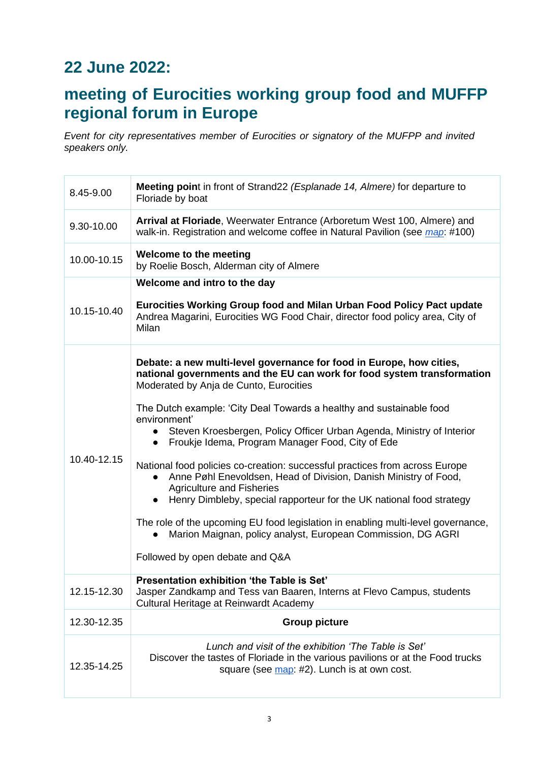## **22 June 2022:**

### **meeting of Eurocities working group food and MUFFP regional forum in Europe**

*Event for city representatives member of Eurocities or signatory of the MUFPP and invited speakers only.*

| 8.45-9.00   | Meeting point in front of Strand22 (Esplanade 14, Almere) for departure to<br>Floriade by boat                                                                                                                                                                                                                                                                                                                                                                                                                                                                                                                                                                                                                                                                                                                                                                         |
|-------------|------------------------------------------------------------------------------------------------------------------------------------------------------------------------------------------------------------------------------------------------------------------------------------------------------------------------------------------------------------------------------------------------------------------------------------------------------------------------------------------------------------------------------------------------------------------------------------------------------------------------------------------------------------------------------------------------------------------------------------------------------------------------------------------------------------------------------------------------------------------------|
| 9.30-10.00  | Arrival at Floriade, Weerwater Entrance (Arboretum West 100, Almere) and<br>walk-in. Registration and welcome coffee in Natural Pavilion (see <i>map</i> : #100)                                                                                                                                                                                                                                                                                                                                                                                                                                                                                                                                                                                                                                                                                                       |
| 10.00-10.15 | Welcome to the meeting<br>by Roelie Bosch, Alderman city of Almere                                                                                                                                                                                                                                                                                                                                                                                                                                                                                                                                                                                                                                                                                                                                                                                                     |
| 10.15-10.40 | Welcome and intro to the day<br>Eurocities Working Group food and Milan Urban Food Policy Pact update<br>Andrea Magarini, Eurocities WG Food Chair, director food policy area, City of<br>Milan                                                                                                                                                                                                                                                                                                                                                                                                                                                                                                                                                                                                                                                                        |
| 10.40-12.15 | Debate: a new multi-level governance for food in Europe, how cities,<br>national governments and the EU can work for food system transformation<br>Moderated by Anja de Cunto, Eurocities<br>The Dutch example: 'City Deal Towards a healthy and sustainable food<br>environment'<br>Steven Kroesbergen, Policy Officer Urban Agenda, Ministry of Interior<br>• Froukje Idema, Program Manager Food, City of Ede<br>National food policies co-creation: successful practices from across Europe<br>Anne Pøhl Enevoldsen, Head of Division, Danish Ministry of Food,<br><b>Agriculture and Fisheries</b><br>Henry Dimbleby, special rapporteur for the UK national food strategy<br>The role of the upcoming EU food legislation in enabling multi-level governance,<br>Marion Maignan, policy analyst, European Commission, DG AGRI<br>Followed by open debate and Q&A |
| 12.15-12.30 | Presentation exhibition 'the Table is Set'<br>Jasper Zandkamp and Tess van Baaren, Interns at Flevo Campus, students<br>Cultural Heritage at Reinwardt Academy                                                                                                                                                                                                                                                                                                                                                                                                                                                                                                                                                                                                                                                                                                         |
| 12.30-12.35 | <b>Group picture</b>                                                                                                                                                                                                                                                                                                                                                                                                                                                                                                                                                                                                                                                                                                                                                                                                                                                   |
| 12.35-14.25 | Lunch and visit of the exhibition 'The Table is Set'<br>Discover the tastes of Floriade in the various pavilions or at the Food trucks<br>square (see map: #2). Lunch is at own cost.                                                                                                                                                                                                                                                                                                                                                                                                                                                                                                                                                                                                                                                                                  |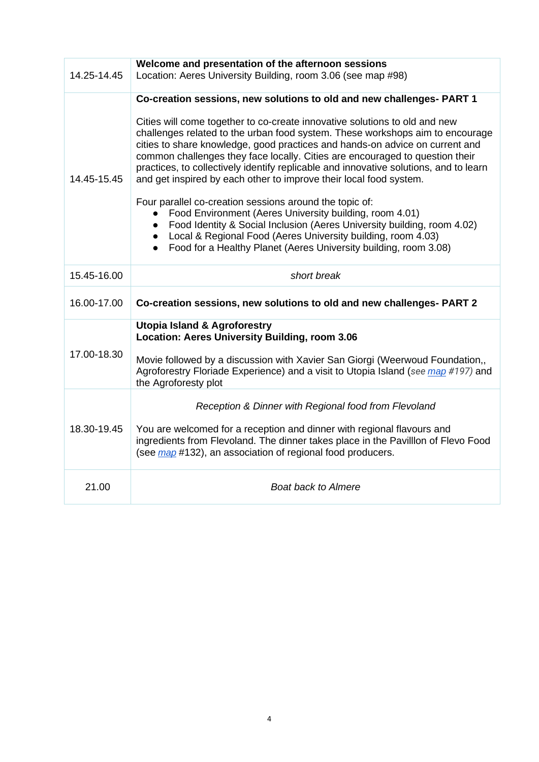| 14.25-14.45 | Welcome and presentation of the afternoon sessions<br>Location: Aeres University Building, room 3.06 (see map #98)                                                                                                                                                                                                                                                                                                                                                                                                                                                                                                                                                                                                                                                                                                                                                                                       |
|-------------|----------------------------------------------------------------------------------------------------------------------------------------------------------------------------------------------------------------------------------------------------------------------------------------------------------------------------------------------------------------------------------------------------------------------------------------------------------------------------------------------------------------------------------------------------------------------------------------------------------------------------------------------------------------------------------------------------------------------------------------------------------------------------------------------------------------------------------------------------------------------------------------------------------|
| 14.45-15.45 | Co-creation sessions, new solutions to old and new challenges- PART 1<br>Cities will come together to co-create innovative solutions to old and new<br>challenges related to the urban food system. These workshops aim to encourage<br>cities to share knowledge, good practices and hands-on advice on current and<br>common challenges they face locally. Cities are encouraged to question their<br>practices, to collectively identify replicable and innovative solutions, and to learn<br>and get inspired by each other to improve their local food system.<br>Four parallel co-creation sessions around the topic of:<br>Food Environment (Aeres University building, room 4.01)<br>Food Identity & Social Inclusion (Aeres University building, room 4.02)<br>Local & Regional Food (Aeres University building, room 4.03)<br>Food for a Healthy Planet (Aeres University building, room 3.08) |
| 15.45-16.00 | short break                                                                                                                                                                                                                                                                                                                                                                                                                                                                                                                                                                                                                                                                                                                                                                                                                                                                                              |
| 16.00-17.00 | Co-creation sessions, new solutions to old and new challenges- PART 2                                                                                                                                                                                                                                                                                                                                                                                                                                                                                                                                                                                                                                                                                                                                                                                                                                    |
| 17.00-18.30 | <b>Utopia Island &amp; Agroforestry</b><br><b>Location: Aeres University Building, room 3.06</b><br>Movie followed by a discussion with Xavier San Giorgi (Weerwoud Foundation,,<br>Agroforestry Floriade Experience) and a visit to Utopia Island (see <i>map #197)</i> and<br>the Agroforesty plot                                                                                                                                                                                                                                                                                                                                                                                                                                                                                                                                                                                                     |
| 18.30-19.45 | Reception & Dinner with Regional food from Flevoland<br>You are welcomed for a reception and dinner with regional flavours and<br>ingredients from Flevoland. The dinner takes place in the Pavilllon of Flevo Food<br>(see map #132), an association of regional food producers.                                                                                                                                                                                                                                                                                                                                                                                                                                                                                                                                                                                                                        |
| 21.00       | <b>Boat back to Almere</b>                                                                                                                                                                                                                                                                                                                                                                                                                                                                                                                                                                                                                                                                                                                                                                                                                                                                               |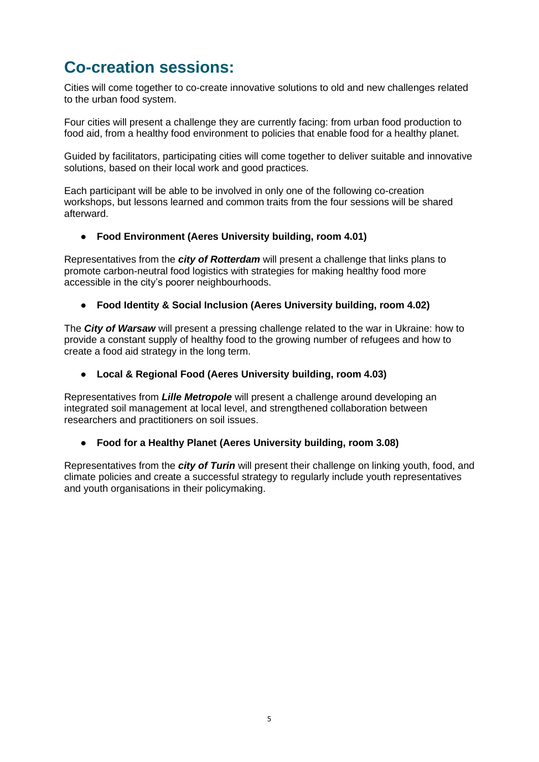## **Co-creation sessions:**

Cities will come together to co-create innovative solutions to old and new challenges related to the urban food system.

Four cities will present a challenge they are currently facing: from urban food production to food aid, from a healthy food environment to policies that enable food for a healthy planet.

Guided by facilitators, participating cities will come together to deliver suitable and innovative solutions, based on their local work and good practices.

Each participant will be able to be involved in only one of the following co-creation workshops, but lessons learned and common traits from the four sessions will be shared afterward.

### ● **Food Environment (Aeres University building, room 4.01)**

Representatives from the *city of Rotterdam* will present a challenge that links plans to promote carbon-neutral food logistics with strategies for making healthy food more accessible in the city's poorer neighbourhoods.

#### ● **Food Identity & Social Inclusion (Aeres University building, room 4.02)**

The *City of Warsaw* will present a pressing challenge related to the war in Ukraine: how to provide a constant supply of healthy food to the growing number of refugees and how to create a food aid strategy in the long term.

#### ● **Local & Regional Food (Aeres University building, room 4.03)**

Representatives from *Lille Metropole* will present a challenge around developing an integrated soil management at local level, and strengthened collaboration between researchers and practitioners on soil issues.

#### ● **Food for a Healthy Planet (Aeres University building, room 3.08)**

Representatives from the *city of Turin* will present their challenge on linking youth, food, and climate policies and create a successful strategy to regularly include youth representatives and youth organisations in their policymaking.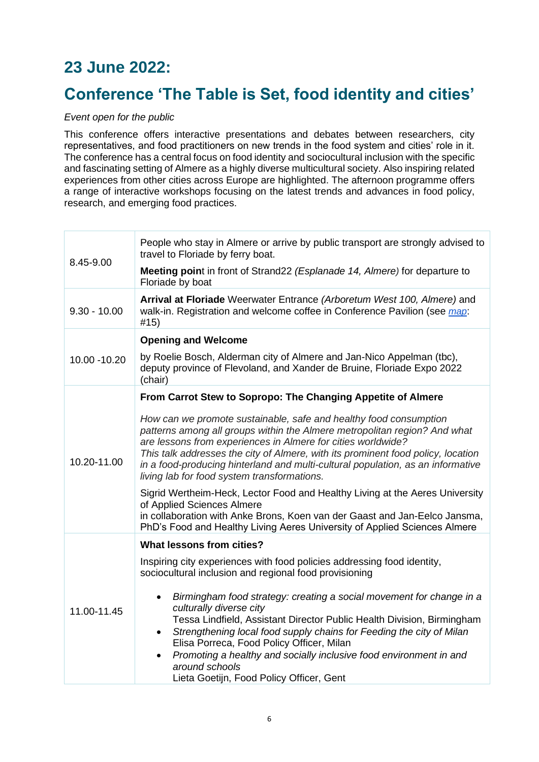## **23 June 2022:**

### **Conference 'The Table is Set, food identity and cities'**

### *Event open for the public*

This conference offers interactive presentations and debates between researchers, city representatives, and food practitioners on new trends in the food system and cities' role in it. The conference has a central focus on food identity and sociocultural inclusion with the specific and fascinating setting of Almere as a highly diverse multicultural society. Also inspiring related experiences from other cities across Europe are highlighted. The afternoon programme offers a range of interactive workshops focusing on the latest trends and advances in food policy, research, and emerging food practices.

| 8.45-9.00      | People who stay in Almere or arrive by public transport are strongly advised to<br>travel to Floriade by ferry boat.<br>Meeting point in front of Strand22 (Esplanade 14, Almere) for departure to<br>Floriade by boat                                                                                                                                                                                                                                                    |
|----------------|---------------------------------------------------------------------------------------------------------------------------------------------------------------------------------------------------------------------------------------------------------------------------------------------------------------------------------------------------------------------------------------------------------------------------------------------------------------------------|
| $9.30 - 10.00$ | Arrival at Floriade Weerwater Entrance (Arboretum West 100, Almere) and<br>walk-in. Registration and welcome coffee in Conference Pavilion (see map:<br>#15)                                                                                                                                                                                                                                                                                                              |
| 10.00 - 10.20  | <b>Opening and Welcome</b>                                                                                                                                                                                                                                                                                                                                                                                                                                                |
|                | by Roelie Bosch, Alderman city of Almere and Jan-Nico Appelman (tbc),<br>deputy province of Flevoland, and Xander de Bruine, Floriade Expo 2022<br>(chair)                                                                                                                                                                                                                                                                                                                |
|                | From Carrot Stew to Sopropo: The Changing Appetite of Almere                                                                                                                                                                                                                                                                                                                                                                                                              |
| 10.20-11.00    | How can we promote sustainable, safe and healthy food consumption<br>patterns among all groups within the Almere metropolitan region? And what<br>are lessons from experiences in Almere for cities worldwide?<br>This talk addresses the city of Almere, with its prominent food policy, location<br>in a food-producing hinterland and multi-cultural population, as an informative<br>living lab for food system transformations.                                      |
|                | Sigrid Wertheim-Heck, Lector Food and Healthy Living at the Aeres University<br>of Applied Sciences Almere<br>in collaboration with Anke Brons, Koen van der Gaast and Jan-Eelco Jansma,<br>PhD's Food and Healthy Living Aeres University of Applied Sciences Almere                                                                                                                                                                                                     |
|                | <b>What lessons from cities?</b>                                                                                                                                                                                                                                                                                                                                                                                                                                          |
| 11.00-11.45    | Inspiring city experiences with food policies addressing food identity,<br>sociocultural inclusion and regional food provisioning                                                                                                                                                                                                                                                                                                                                         |
|                | Birmingham food strategy: creating a social movement for change in a<br>$\bullet$<br>culturally diverse city<br>Tessa Lindfield, Assistant Director Public Health Division, Birmingham<br>Strengthening local food supply chains for Feeding the city of Milan<br>$\bullet$<br>Elisa Porreca, Food Policy Officer, Milan<br>Promoting a healthy and socially inclusive food environment in and<br>$\bullet$<br>around schools<br>Lieta Goetijn, Food Policy Officer, Gent |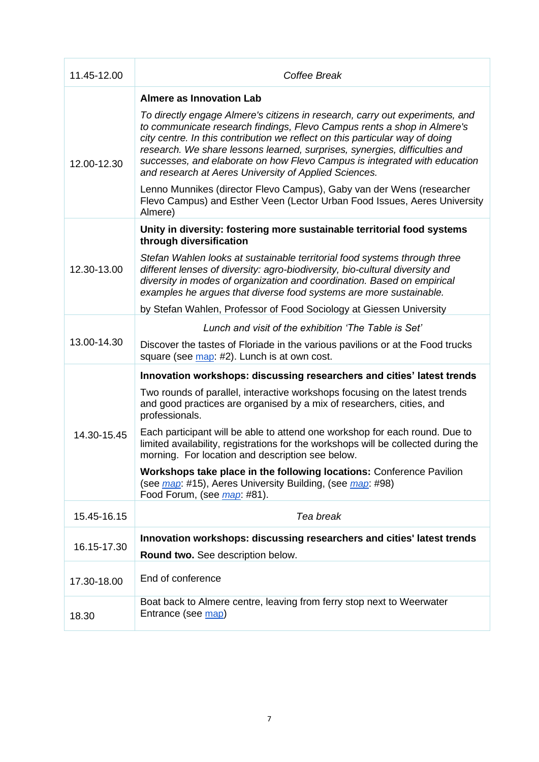| 11.45-12.00 | Coffee Break                                                                                                                                                                                                                                                                                                                                                                                                                                                |
|-------------|-------------------------------------------------------------------------------------------------------------------------------------------------------------------------------------------------------------------------------------------------------------------------------------------------------------------------------------------------------------------------------------------------------------------------------------------------------------|
|             | <b>Almere as Innovation Lab</b>                                                                                                                                                                                                                                                                                                                                                                                                                             |
| 12.00-12.30 | To directly engage Almere's citizens in research, carry out experiments, and<br>to communicate research findings, Flevo Campus rents a shop in Almere's<br>city centre. In this contribution we reflect on this particular way of doing<br>research. We share lessons learned, surprises, synergies, difficulties and<br>successes, and elaborate on how Flevo Campus is integrated with education<br>and research at Aeres University of Applied Sciences. |
|             | Lenno Munnikes (director Flevo Campus), Gaby van der Wens (researcher<br>Flevo Campus) and Esther Veen (Lector Urban Food Issues, Aeres University<br>Almere)                                                                                                                                                                                                                                                                                               |
| 12.30-13.00 | Unity in diversity: fostering more sustainable territorial food systems<br>through diversification                                                                                                                                                                                                                                                                                                                                                          |
|             | Stefan Wahlen looks at sustainable territorial food systems through three<br>different lenses of diversity: agro-biodiversity, bio-cultural diversity and<br>diversity in modes of organization and coordination. Based on empirical<br>examples he argues that diverse food systems are more sustainable.                                                                                                                                                  |
|             | by Stefan Wahlen, Professor of Food Sociology at Giessen University                                                                                                                                                                                                                                                                                                                                                                                         |
|             | Lunch and visit of the exhibition 'The Table is Set'                                                                                                                                                                                                                                                                                                                                                                                                        |
| 13.00-14.30 | Discover the tastes of Floriade in the various pavilions or at the Food trucks<br>square (see map: #2). Lunch is at own cost.                                                                                                                                                                                                                                                                                                                               |
|             | Innovation workshops: discussing researchers and cities' latest trends                                                                                                                                                                                                                                                                                                                                                                                      |
| 14.30-15.45 | Two rounds of parallel, interactive workshops focusing on the latest trends<br>and good practices are organised by a mix of researchers, cities, and<br>professionals.                                                                                                                                                                                                                                                                                      |
|             | Each participant will be able to attend one workshop for each round. Due to<br>limited availability, registrations for the workshops will be collected during the<br>morning. For location and description see below.                                                                                                                                                                                                                                       |
|             | Workshops take place in the following locations: Conference Pavilion<br>(see <i>map</i> : #15), Aeres University Building, (see <i>map</i> : #98)<br>Food Forum, (see <i>map</i> : #81).                                                                                                                                                                                                                                                                    |
| 15.45-16.15 | Tea break                                                                                                                                                                                                                                                                                                                                                                                                                                                   |
| 16.15-17.30 | Innovation workshops: discussing researchers and cities' latest trends                                                                                                                                                                                                                                                                                                                                                                                      |
|             | Round two. See description below.                                                                                                                                                                                                                                                                                                                                                                                                                           |
| 17.30-18.00 | End of conference                                                                                                                                                                                                                                                                                                                                                                                                                                           |
| 18.30       | Boat back to Almere centre, leaving from ferry stop next to Weerwater<br>Entrance (see map)                                                                                                                                                                                                                                                                                                                                                                 |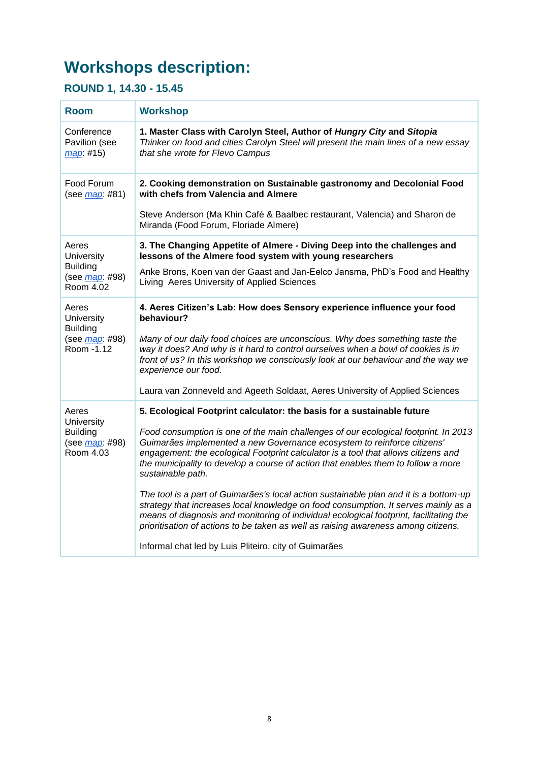## **Workshops description:**

### **ROUND 1, 14.30 - 15.45**

| <b>Room</b>                                                                           | <b>Workshop</b>                                                                                                                                                                                                                                                                                                                                                |
|---------------------------------------------------------------------------------------|----------------------------------------------------------------------------------------------------------------------------------------------------------------------------------------------------------------------------------------------------------------------------------------------------------------------------------------------------------------|
| Conference<br>Pavilion (see<br>map: #15)                                              | 1. Master Class with Carolyn Steel, Author of Hungry City and Sitopia<br>Thinker on food and cities Carolyn Steel will present the main lines of a new essay<br>that she wrote for Flevo Campus                                                                                                                                                                |
| Food Forum<br>(see <i>map</i> : #81)                                                  | 2. Cooking demonstration on Sustainable gastronomy and Decolonial Food<br>with chefs from Valencia and Almere                                                                                                                                                                                                                                                  |
|                                                                                       | Steve Anderson (Ma Khin Café & Baalbec restaurant, Valencia) and Sharon de<br>Miranda (Food Forum, Floriade Almere)                                                                                                                                                                                                                                            |
| Aeres<br>University<br><b>Building</b><br>(see <i>map</i> : #98)<br>Room 4.02         | 3. The Changing Appetite of Almere - Diving Deep into the challenges and<br>lessons of the Almere food system with young researchers                                                                                                                                                                                                                           |
|                                                                                       | Anke Brons, Koen van der Gaast and Jan-Eelco Jansma, PhD's Food and Healthy<br>Living Aeres University of Applied Sciences                                                                                                                                                                                                                                     |
| Aeres<br><b>University</b><br><b>Building</b><br>(see <i>map</i> : #98)<br>Room -1.12 | 4. Aeres Citizen's Lab: How does Sensory experience influence your food<br>behaviour?                                                                                                                                                                                                                                                                          |
|                                                                                       | Many of our daily food choices are unconscious. Why does something taste the<br>way it does? And why is it hard to control ourselves when a bowl of cookies is in<br>front of us? In this workshop we consciously look at our behaviour and the way we<br>experience our food.                                                                                 |
|                                                                                       | Laura van Zonneveld and Ageeth Soldaat, Aeres University of Applied Sciences                                                                                                                                                                                                                                                                                   |
| Aeres<br>University<br><b>Building</b><br>(see <i>map</i> : #98)<br>Room 4.03         | 5. Ecological Footprint calculator: the basis for a sustainable future                                                                                                                                                                                                                                                                                         |
|                                                                                       | Food consumption is one of the main challenges of our ecological footprint. In 2013<br>Guimarães implemented a new Governance ecosystem to reinforce citizens'<br>engagement: the ecological Footprint calculator is a tool that allows citizens and<br>the municipality to develop a course of action that enables them to follow a more<br>sustainable path. |
|                                                                                       | The tool is a part of Guimarães's local action sustainable plan and it is a bottom-up<br>strategy that increases local knowledge on food consumption. It serves mainly as a<br>means of diagnosis and monitoring of individual ecological footprint, facilitating the<br>prioritisation of actions to be taken as well as raising awareness among citizens.    |
|                                                                                       | Informal chat led by Luis Pliteiro, city of Guimarães                                                                                                                                                                                                                                                                                                          |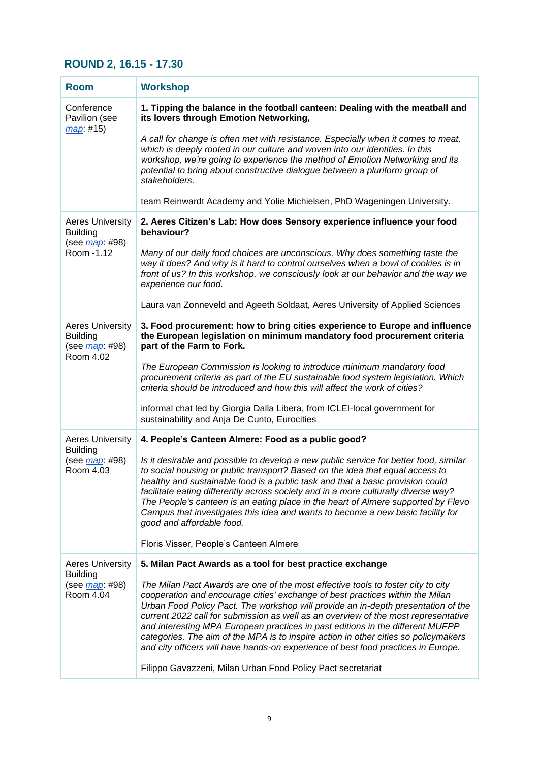### **ROUND 2, 16.15 - 17.30**

| <b>Room</b>                                                                         | <b>Workshop</b>                                                                                                                                                                                                                                                                                                                                                                                                                                                                                                                                                                                            |
|-------------------------------------------------------------------------------------|------------------------------------------------------------------------------------------------------------------------------------------------------------------------------------------------------------------------------------------------------------------------------------------------------------------------------------------------------------------------------------------------------------------------------------------------------------------------------------------------------------------------------------------------------------------------------------------------------------|
| Conference<br>Pavilion (see<br>map: #15)                                            | 1. Tipping the balance in the football canteen: Dealing with the meatball and<br>its lovers through Emotion Networking,                                                                                                                                                                                                                                                                                                                                                                                                                                                                                    |
|                                                                                     | A call for change is often met with resistance. Especially when it comes to meat,<br>which is deeply rooted in our culture and woven into our identities. In this<br>workshop, we're going to experience the method of Emotion Networking and its<br>potential to bring about constructive dialogue between a pluriform group of<br>stakeholders.                                                                                                                                                                                                                                                          |
|                                                                                     | team Reinwardt Academy and Yolie Michielsen, PhD Wageningen University.                                                                                                                                                                                                                                                                                                                                                                                                                                                                                                                                    |
| <b>Aeres University</b><br><b>Building</b><br>(see <u>map</u> : #98)<br>Room - 1.12 | 2. Aeres Citizen's Lab: How does Sensory experience influence your food<br>behaviour?                                                                                                                                                                                                                                                                                                                                                                                                                                                                                                                      |
|                                                                                     | Many of our daily food choices are unconscious. Why does something taste the<br>way it does? And why is it hard to control ourselves when a bowl of cookies is in<br>front of us? In this workshop, we consciously look at our behavior and the way we<br>experience our food.                                                                                                                                                                                                                                                                                                                             |
|                                                                                     | Laura van Zonneveld and Ageeth Soldaat, Aeres University of Applied Sciences                                                                                                                                                                                                                                                                                                                                                                                                                                                                                                                               |
| <b>Aeres University</b><br><b>Building</b><br>(see <i>map</i> : #98)<br>Room 4.02   | 3. Food procurement: how to bring cities experience to Europe and influence<br>the European legislation on minimum mandatory food procurement criteria<br>part of the Farm to Fork.                                                                                                                                                                                                                                                                                                                                                                                                                        |
|                                                                                     | The European Commission is looking to introduce minimum mandatory food<br>procurement criteria as part of the EU sustainable food system legislation. Which<br>criteria should be introduced and how this will affect the work of cities?                                                                                                                                                                                                                                                                                                                                                                  |
|                                                                                     | informal chat led by Giorgia Dalla Libera, from ICLEI-local government for<br>sustainability and Anja De Cunto, Eurocities                                                                                                                                                                                                                                                                                                                                                                                                                                                                                 |
| <b>Aeres University</b><br><b>Building</b>                                          | 4. People's Canteen Almere: Food as a public good?                                                                                                                                                                                                                                                                                                                                                                                                                                                                                                                                                         |
| (see <i>map</i> : #98)<br>Room 4.03                                                 | Is it desirable and possible to develop a new public service for better food, similar<br>to social housing or public transport? Based on the idea that equal access to<br>healthy and sustainable food is a public task and that a basic provision could<br>facilitate eating differently across society and in a more culturally diverse way?<br>The People's canteen is an eating place in the heart of Almere supported by Flevo<br>Campus that investigates this idea and wants to become a new basic facility for<br>good and affordable food.                                                        |
|                                                                                     | Floris Visser, People's Canteen Almere                                                                                                                                                                                                                                                                                                                                                                                                                                                                                                                                                                     |
| <b>Aeres University</b><br><b>Building</b>                                          | 5. Milan Pact Awards as a tool for best practice exchange                                                                                                                                                                                                                                                                                                                                                                                                                                                                                                                                                  |
| (see <i>map</i> : #98)<br>Room 4.04                                                 | The Milan Pact Awards are one of the most effective tools to foster city to city<br>cooperation and encourage cities' exchange of best practices within the Milan<br>Urban Food Policy Pact. The workshop will provide an in-depth presentation of the<br>current 2022 call for submission as well as an overview of the most representative<br>and interesting MPA European practices in past editions in the different MUFPP<br>categories. The aim of the MPA is to inspire action in other cities so policymakers<br>and city officers will have hands-on experience of best food practices in Europe. |
|                                                                                     | Filippo Gavazzeni, Milan Urban Food Policy Pact secretariat                                                                                                                                                                                                                                                                                                                                                                                                                                                                                                                                                |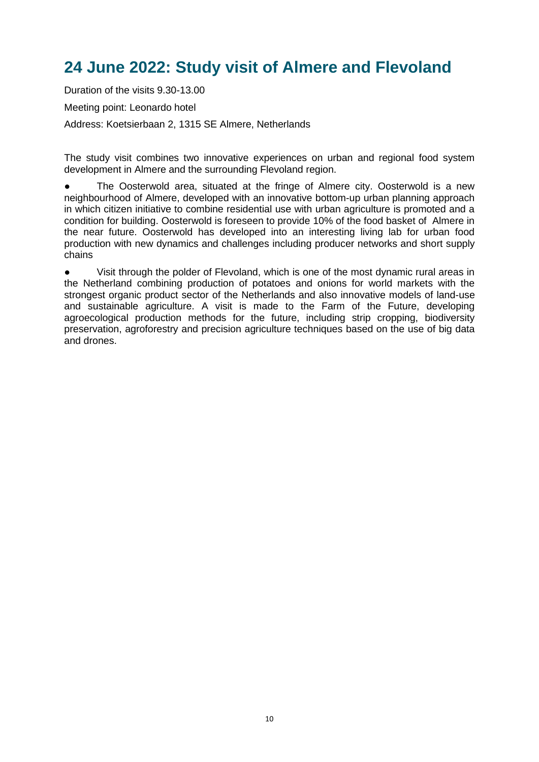## **24 June 2022: Study visit of Almere and Flevoland**

Duration of the visits 9.30-13.00 Meeting point: Leonardo hotel Address: Koetsierbaan 2, 1315 SE Almere, Netherlands

The study visit combines two innovative experiences on urban and regional food system development in Almere and the surrounding Flevoland region.

The Oosterwold area, situated at the fringe of Almere city. Oosterwold is a new neighbourhood of Almere, developed with an innovative bottom-up urban planning approach in which citizen initiative to combine residential use with urban agriculture is promoted and a condition for building. Oosterwold is foreseen to provide 10% of the food basket of Almere in the near future. Oosterwold has developed into an interesting living lab for urban food production with new dynamics and challenges including producer networks and short supply chains

Visit through the polder of Flevoland, which is one of the most dynamic rural areas in the Netherland combining production of potatoes and onions for world markets with the strongest organic product sector of the Netherlands and also innovative models of land-use and sustainable agriculture. A visit is made to the Farm of the Future, developing agroecological production methods for the future, including strip cropping, biodiversity preservation, agroforestry and precision agriculture techniques based on the use of big data and drones.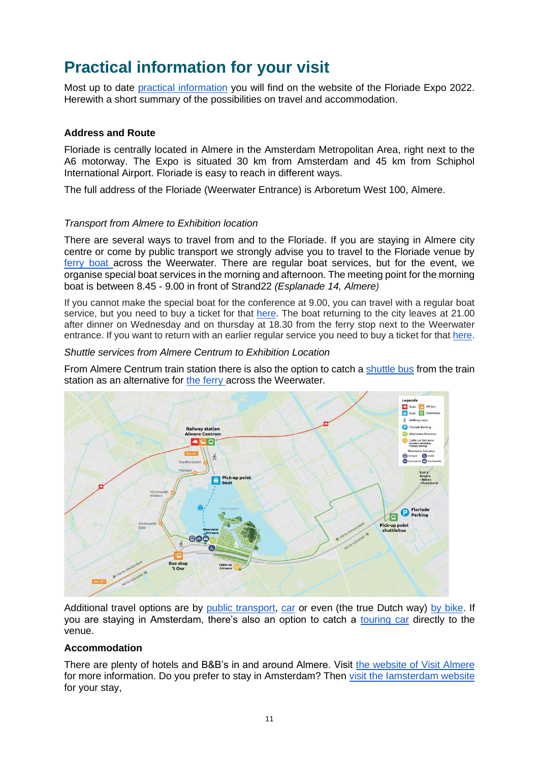### **Practical information for your visit**

Most up to date [practical information](https://floriade.com/en/practical-information/) you will find on the website of the Floriade Expo 2022. Herewith a short summary of the possibilities on travel and accommodation.

### **Address and Route**

Floriade is centrally located in Almere in the Amsterdam Metropolitan Area, right next to the A6 motorway. The Expo is situated 30 km from Amsterdam and 45 km from Schiphol International Airport. Floriade is easy to reach in different ways.

The full address of the Floriade (Weerwater Entrance) is Arboretum West 100, Almere.

#### *Transport from Almere to Exhibition location*

There are several ways to travel from and to the Floriade. If you are staying in Almere city centre or come by public transport we strongly advise you to travel to the Floriade venue by [ferry boat a](https://floriade.com/en/price-information/boat/)cross the Weerwater. There are regular boat services, but for the event, we organise special boat services in the morning and afternoon. The meeting point for the morning boat is between 8.45 - 9.00 in front of Strand22 *(Esplanade 14, Almere)*

If you cannot make the special boat for the conference at 9.00, you can travel with a regular boat service, but you need to buy a ticket for that [here.](https://floriade.com/en/price-information/boat/) The boat returning to the city leaves at 21.00 after dinner on Wednesday and on thursday at 18.30 from the ferry stop next to the Weerwater entrance. If you want to return with an earlier regular service you need to buy a ticket for that [here.](https://floriade.com/en/price-information/boat/)

#### *Shuttle services from Almere Centrum to Exhibition Location*

From Almere Centrum train station there is also the option to catch a [shuttle bus](https://floriade.com/en/price-information/boat/%20https:/floriade.com/en/price-information/shuttle-bus/) from the train station as an alternative for [the ferry a](https://floriade.com/en/price-information/boat/)cross the Weerwater.



Additional travel options are by [public transport,](https://floriade.com/en/address-and-route/public-transport/) [car](https://floriade.com/en/address-and-route/by-car/) or even (the true Dutch way) [by bike.](https://floriade.com/en/address-and-route/by-bike/) If you are staying in Amsterdam, there's also an option to catch a [touring car](https://floriade.com/en/address-and-route/by-touring-bus-from-amsterdam/) directly to the venue.

### **Accommodation**

There are plenty of hotels and B&B's in and around Almere. Visit [the website of Visit Almere](https://www.visitalmere.com/en/plan/staying-overnight) for more information. Do you prefer to stay in Amsterdam? Then [visit the Iamsterdam website](https://www.iamsterdam.com/en/plan-your-trip/where-to-stay) for your stay,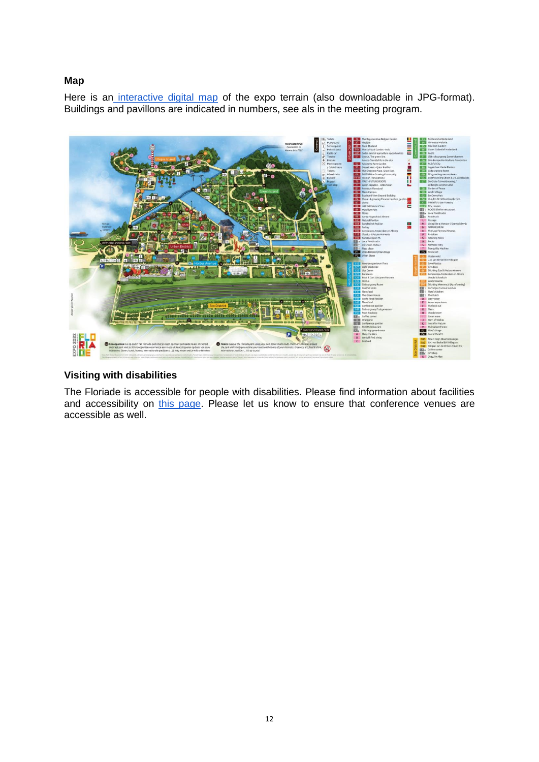### **Map**

Here is an [interactive digital map](https://floriade.com/en/map/) of the expo terrain (also downloadable in JPG-format). Buildings and pavillons are indicated in numbers, see als in the meeting program.



### **Visiting with disabilities**

The Floriade is accessible for people with disabilities. Please find information about facilities and accessibility on [this page.](https://floriade.com/en/practical-information/visitors-with-disabilities/) Please let us know to ensure that conference venues are accessible as well.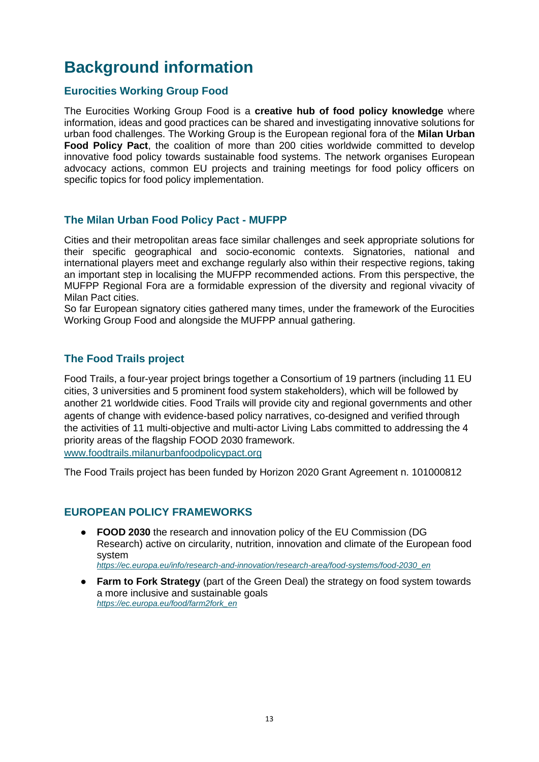## **Background information**

### **Eurocities Working Group Food**

The Eurocities Working Group Food is a **creative hub of food policy knowledge** where information, ideas and good practices can be shared and investigating innovative solutions for urban food challenges. The Working Group is the European regional fora of the **Milan Urban Food Policy Pact**, the coalition of more than 200 cities worldwide committed to develop innovative food policy towards sustainable food systems. The network organises European advocacy actions, common EU projects and training meetings for food policy officers on specific topics for food policy implementation.

### **The Milan Urban Food Policy Pact - MUFPP**

Cities and their metropolitan areas face similar challenges and seek appropriate solutions for their specific geographical and socio-economic contexts. Signatories, national and international players meet and exchange regularly also within their respective regions, taking an important step in localising the MUFPP recommended actions. From this perspective, the MUFPP Regional Fora are a formidable expression of the diversity and regional vivacity of Milan Pact cities.

So far European signatory cities gathered many times, under the framework of the Eurocities Working Group Food and alongside the MUFPP annual gathering.

### **The Food Trails project**

Food Trails, a four-year project brings together a Consortium of 19 partners (including 11 EU cities, 3 universities and 5 prominent food system stakeholders), which will be followed by another 21 worldwide cities. Food Trails will provide city and regional governments and other agents of change with evidence-based policy narratives, co-designed and verified through the activities of 11 multi-objective and multi-actor Living Labs committed to addressing the 4 priority areas of the flagship FOOD 2030 framework. [www.foodtrails.milanurbanfoodpolicypact.org](http://www.foodtrails.milanurbanfoodpolicypact.org/)

The Food Trails project has been funded by Horizon 2020 Grant Agreement n. 101000812

### **EUROPEAN POLICY FRAMEWORKS**

● **FOOD 2030** the research and innovation policy of the EU Commission (DG Research) active on circularity, nutrition, innovation and climate of the European food system

*[https://ec.europa.eu/info/research-and-innovation/research-area/food-systems/food-2030\\_en](https://ec.europa.eu/info/research-and-innovation/research-area/food-systems/food-2030_en)*

● **Farm to Fork Strategy** (part of the Green Deal) the strategy on food system towards a more inclusive and sustainable goals *[https://ec.europa.eu/food/farm2fork\\_en](https://ec.europa.eu/food/farm2fork_en)*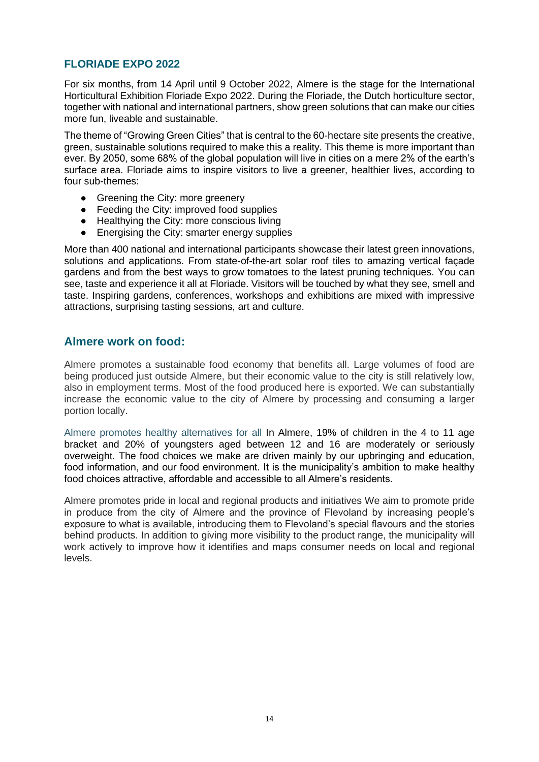### **FLORIADE EXPO 2022**

For six months, from 14 April until 9 October 2022, Almere is the stage for the International Horticultural Exhibition Floriade Expo 2022. During the Floriade, the Dutch horticulture sector, together with national and international partners, show green solutions that can make our cities more fun, liveable and sustainable.

The theme of "Growing Green Cities" that is central to the 60-hectare site presents the creative, green, sustainable solutions required to make this a reality. This theme is more important than ever. By 2050, some 68% of the global population will live in cities on a mere 2% of the earth's surface area. Floriade aims to inspire visitors to live a greener, healthier lives, according to four sub-themes:

- Greening the City: more greenery
- Feeding the City: improved food supplies
- Healthying the City: more conscious living
- Energising the City: smarter energy supplies

More than 400 national and international participants showcase their latest green innovations, solutions and applications. From state-of-the-art solar roof tiles to amazing vertical façade gardens and from the best ways to grow tomatoes to the latest pruning techniques. You can see, taste and experience it all at Floriade. Visitors will be touched by what they see, smell and taste. Inspiring gardens, conferences, workshops and exhibitions are mixed with impressive attractions, surprising tasting sessions, art and culture.

### **Almere work on food:**

Almere promotes a sustainable food economy that benefits all. Large volumes of food are being produced just outside Almere, but their economic value to the city is still relatively low, also in employment terms. Most of the food produced here is exported. We can substantially increase the economic value to the city of Almere by processing and consuming a larger portion locally.

Almere promotes healthy alternatives for all In Almere, 19% of children in the 4 to 11 age bracket and 20% of youngsters aged between 12 and 16 are moderately or seriously overweight. The food choices we make are driven mainly by our upbringing and education, food information, and our food environment. It is the municipality's ambition to make healthy food choices attractive, affordable and accessible to all Almere's residents.

Almere promotes pride in local and regional products and initiatives We aim to promote pride in produce from the city of Almere and the province of Flevoland by increasing people's exposure to what is available, introducing them to Flevoland's special flavours and the stories behind products. In addition to giving more visibility to the product range, the municipality will work actively to improve how it identifies and maps consumer needs on local and regional levels.